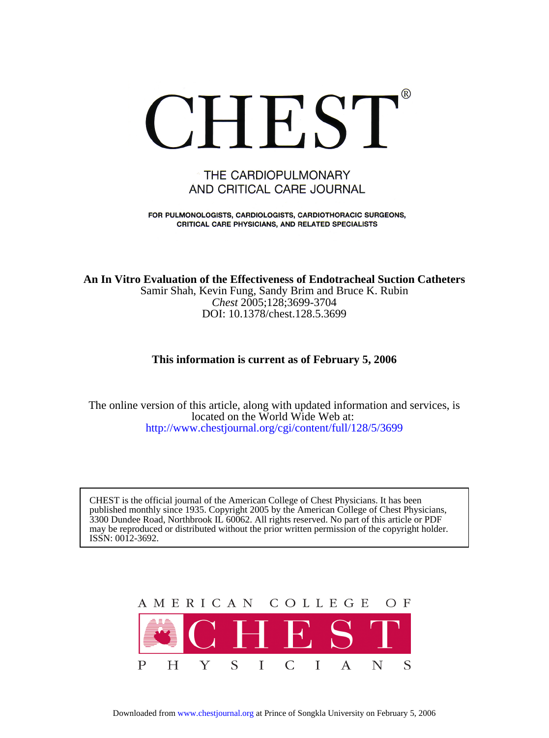

# THE CARDIOPULMONARY AND CRITICAL CARE JOURNAL

FOR PULMONOLOGISTS, CARDIOLOGISTS, CARDIOTHORACIC SURGEONS, CRITICAL CARE PHYSICIANS, AND RELATED SPECIALISTS

DOI: 10.1378/chest.128.5.3699 *Chest* 2005;128;3699-3704 Samir Shah, Kevin Fung, Sandy Brim and Bruce K. Rubin **An In Vitro Evaluation of the Effectiveness of Endotracheal Suction Catheters** 

# **This information is current as of February 5, 2006**

<http://www.chestjournal.org/cgi/content/full/128/5/3699> located on the World Wide Web at: The online version of this article, along with updated information and services, is

ISSN: 0012-3692. may be reproduced or distributed without the prior written permission of the copyright holder. 3300 Dundee Road, Northbrook IL 60062. All rights reserved. No part of this article or PDF published monthly since 1935. Copyright 2005 by the American College of Chest Physicians, CHEST is the official journal of the American College of Chest Physicians. It has been

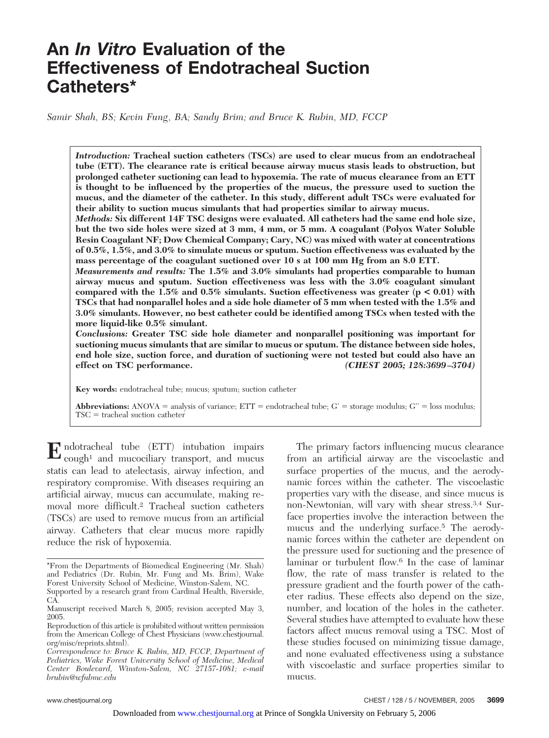# **An** *In Vitro* **Evaluation of the Effectiveness of Endotracheal Suction Catheters\***

*Samir Shah, BS; Kevin Fung, BA; Sandy Brim; and Bruce K. Rubin, MD, FCCP*

*Introduction:* **Tracheal suction catheters (TSCs) are used to clear mucus from an endotracheal tube (ETT). The clearance rate is critical because airway mucus stasis leads to obstruction, but prolonged catheter suctioning can lead to hypoxemia. The rate of mucus clearance from an ETT is thought to be influenced by the properties of the mucus, the pressure used to suction the mucus, and the diameter of the catheter. In this study, different adult TSCs were evaluated for their ability to suction mucus simulants that had properties similar to airway mucus.**

*Methods:* **Six different 14F TSC designs were evaluated. All catheters had the same end hole size, but the two side holes were sized at 3 mm, 4 mm, or 5 mm. A coagulant (Polyox Water Soluble Resin Coagulant NF; Dow Chemical Company; Cary, NC) was mixed with water at concentrations of 0.5%, 1.5%, and 3.0% to simulate mucus or sputum. Suction effectiveness was evaluated by the mass percentage of the coagulant suctioned over 10 s at 100 mm Hg from an 8.0 ETT.**

*Measurements and results:* **The 1.5% and 3.0% simulants had properties comparable to human airway mucus and sputum. Suction effectiveness was less with the 3.0% coagulant simulant compared with the 1.5% and 0.5% simulants. Suction effectiveness was greater (p < 0.01) with TSCs that had nonparallel holes and a side hole diameter of 5 mm when tested with the 1.5% and 3.0% simulants. However, no best catheter could be identified among TSCs when tested with the more liquid-like 0.5% simulant.**

*Conclusions:* **Greater TSC side hole diameter and nonparallel positioning was important for suctioning mucus simulants that are similar to mucus or sputum. The distance between side holes, end hole size, suction force, and duration of suctioning were not tested but could also have an effect on TSC performance.** *(CHEST 2005; 128:3699 –3704)*

**Key words:** endotracheal tube; mucus; sputum; suction catheter

**Abbreviations:** ANOVA = analysis of variance;  $ETT$  = endotracheal tube;  $G'$  = storage modulus;  $G''$  = loss modulus;  $TSC =$  tracheal suction catheter

 $\mathbf{E}$  ndotracheal tube (ETT) intubation impairs cough<sup>1</sup> and mucociliary transport, and mucus statis can lead to atelectasis, airway infection, and respiratory compromise. With diseases requiring an artificial airway, mucus can accumulate, making removal more difficult.2 Tracheal suction catheters (TSCs) are used to remove mucus from an artificial airway. Catheters that clear mucus more rapidly reduce the risk of hypoxemia.

The primary factors influencing mucus clearance from an artificial airway are the viscoelastic and surface properties of the mucus, and the aerodynamic forces within the catheter. The viscoelastic properties vary with the disease, and since mucus is non-Newtonian, will vary with shear stress.3,4 Surface properties involve the interaction between the mucus and the underlying surface.5 The aerodynamic forces within the catheter are dependent on the pressure used for suctioning and the presence of laminar or turbulent flow.<sup>6</sup> In the case of laminar flow, the rate of mass transfer is related to the pressure gradient and the fourth power of the catheter radius. These effects also depend on the size, number, and location of the holes in the catheter. Several studies have attempted to evaluate how these factors affect mucus removal using a TSC. Most of these studies focused on minimizing tissue damage, and none evaluated effectiveness using a substance with viscoelastic and surface properties similar to mucus.

<sup>\*</sup>From the Departments of Biomedical Engineering (Mr. Shah) and Pediatrics (Dr. Rubin, Mr. Fung and Ms. Brim), Wake Forest University School of Medicine, Winston-Salem, NC. Supported by a research grant from Cardinal Health, Riverside, CA.

Manuscript received March 8, 2005; revision accepted May 3, 2005.

Reproduction of this article is prohibited without written permission from the American College of Chest Physicians (www.chestjournal. org/misc/reprints.shtml).

*Correspondence to: Bruce K. Rubin, MD, FCCP, Department of Pediatrics, Wake Forest University School of Medicine, Medical Center Boulevard, Winston-Salem, NC 27157-1081; e-mail brubin@wfubmc.edu*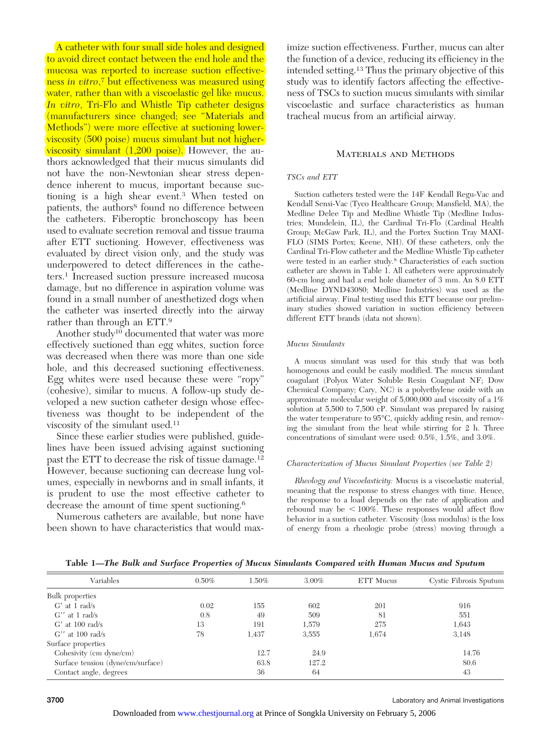A catheter with four small side holes and designed to avoid direct contact between the end hole and the mucosa was reported to increase suction effectiveness *in vitro*, <sup>7</sup> but effectiveness was measured using water, rather than with a viscoelastic gel like mucus. *In vitro*, Tri-Flo and Whistle Tip catheter designs (manufacturers since changed; see "Materials and Methods") were more effective at suctioning lowerviscosity (500 poise) mucus simulant but not higherviscosity simulant  $(1,200)$  poise). However, the authors acknowledged that their mucus simulants did not have the non-Newtonian shear stress dependence inherent to mucus, important because suctioning is a high shear event.3 When tested on patients, the authors<sup>8</sup> found no difference between the catheters. Fiberoptic bronchoscopy has been used to evaluate secretion removal and tissue trauma after ETT suctioning. However, effectiveness was evaluated by direct vision only, and the study was underpowered to detect differences in the catheters.1 Increased suction pressure increased mucosa damage, but no difference in aspiration volume was found in a small number of anesthetized dogs when the catheter was inserted directly into the airway rather than through an ETT.9

Another study<sup>10</sup> documented that water was more effectively suctioned than egg whites, suction force was decreased when there was more than one side hole, and this decreased suctioning effectiveness. Egg whites were used because these were "ropy" (cohesive), similar to mucus. A follow-up study developed a new suction catheter design whose effectiveness was thought to be independent of the viscosity of the simulant used.11

Since these earlier studies were published, guidelines have been issued advising against suctioning past the ETT to decrease the risk of tissue damage.12 However, because suctioning can decrease lung volumes, especially in newborns and in small infants, it is prudent to use the most effective catheter to decrease the amount of time spent suctioning.6

Numerous catheters are available, but none have been shown to have characteristics that would maximize suction effectiveness. Further, mucus can alter the function of a device, reducing its efficiency in the intended setting.13 Thus the primary objective of this study was to identify factors affecting the effectiveness of TSCs to suction mucus simulants with similar viscoelastic and surface characteristics as human tracheal mucus from an artificial airway.

#### Materials and Methods

#### *TSCs and ETT*

Suction catheters tested were the 14F Kendall Regu-Vac and Kendall Sensi-Vac (Tyco Healthcare Group; Mansfield, MA), the Medline Delee Tip and Medline Whistle Tip (Medline Industries; Mundelein, IL), the Cardinal Tri-Flo (Cardinal Health Group; McGaw Park, IL), and the Portex Suction Tray MAXI-FLO (SIMS Portex; Keene, NH). Of these catheters, only the Cardinal Tri-Flow catheter and the Medline Whistle Tip catheter were tested in an earlier study.8 Characteristics of each suction catheter are shown in Table 1. All catheters were approximately 60-cm long and had a end hole diameter of 3 mm. An 8.0 ETT (Medline DYND43080; Medline Industries) was used as the artificial airway. Final testing used this ETT because our preliminary studies showed variation in suction efficiency between different ETT brands (data not shown).

#### *Mucus Simulants*

A mucus simulant was used for this study that was both homogenous and could be easily modified. The mucus simulant coagulant (Polyox Water Soluble Resin Coagulant NF; Dow Chemical Company; Cary, NC) is a polyethylene oxide with an approximate molecular weight of 5,000,000 and viscosity of a 1% solution at 5,500 to 7,500 cP. Simulant was prepared by raising the water temperature to 95°C, quickly adding resin, and removing the simulant from the heat while stirring for 2 h. Three concentrations of simulant were used: 0.5%, 1.5%, and 3.0%.

#### *Characterization of Mucus Simulant Properties (see Table 2)*

*Rheology and Viscoelasticity:* Mucus is a viscoelastic material, meaning that the response to stress changes with time. Hence, the response to a load depends on the rate of application and rebound may be  $\leq 100\%$ . These responses would affect flow behavior in a suction catheter. Viscosity (loss modulus) is the loss of energy from a rheologic probe (stress) moving through a

| Table 1—The Bulk and Surface Properties of Mucus Simulants Compared with Human Mucus and Sputum |  |
|-------------------------------------------------------------------------------------------------|--|
|-------------------------------------------------------------------------------------------------|--|

| Variables                         | $0.50\%$ | $1.50\%$ | $3.00\%$ | ETT Mucus | Cystic Fibrosis Sputum |
|-----------------------------------|----------|----------|----------|-----------|------------------------|
| <b>Bulk</b> properties            |          |          |          |           |                        |
| $G'$ at 1 rad/s                   | 0.02     | 155      | 602      | 201       | 916                    |
| $G''$ at 1 rad/s                  | 0.8      | 49       | 509      | 81        | 551                    |
| $G'$ at 100 rad/s                 | 13       | 191      | 1,579    | 275       | 1,643                  |
| $G^{\prime\prime}$ at 100 rad/s   | 78       | 1,437    | 3,555    | 1,674     | 3,148                  |
| Surface properties                |          |          |          |           |                        |
| Cohesivity (cm dyne/cm)           |          | 12.7     | 24.9     |           | 14.76                  |
| Surface tension (dyne/cm/surface) |          | 63.8     | 127.2    |           | 80.6                   |
| Contact angle, degrees            |          | 36       | 64       |           | 43                     |
|                                   |          |          |          |           |                        |

**3700** Laboratory and Animal Investigations **3700**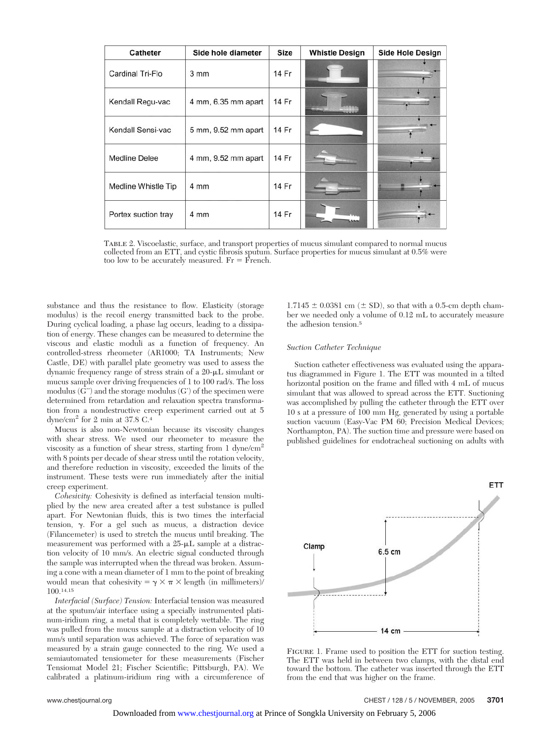| Catheter             | Side hole diameter  | <b>Size</b> | <b>Whistle Design</b> | <b>Side Hole Design</b> |
|----------------------|---------------------|-------------|-----------------------|-------------------------|
| Cardinal Tri-Flo     | $3 \text{ mm}$      | 14 Fr       |                       |                         |
| Kendall Regu-vac     | 4 mm, 6.35 mm apart | 14 Fr       |                       |                         |
| Kendall Sensi-vac    | 5 mm, 9.52 mm apart | 14 Fr       |                       |                         |
| <b>Medline Delee</b> | 4 mm, 9.52 mm apart | 14 Fr       |                       |                         |
| Medline Whistle Tip  | 4 mm                | 14 Fr       |                       |                         |
| Portex suction tray  | 4 mm                | 14 Fr       |                       |                         |

Table 2. Viscoelastic, surface, and transport properties of mucus simulant compared to normal mucus collected from an ETT, and cystic fibrosis sputum. Surface properties for mucus simulant at 0.5% were too low to be accurately measured.  $Fr = \vec{F}$ rench.

substance and thus the resistance to flow. Elasticity (storage modulus) is the recoil energy transmitted back to the probe. During cyclical loading, a phase lag occurs, leading to a dissipation of energy. These changes can be measured to determine the viscous and elastic moduli as a function of frequency. An controlled-stress rheometer (AR1000; TA Instruments; New Castle, DE) with parallel plate geometry was used to assess the dynamic frequency range of stress strain of a 20- $\mu$ L simulant or mucus sample over driving frequencies of 1 to 100 rad/s. The loss modulus  $(\tilde{G}^{\prime})$  and the storage modulus  $(G^{\prime})$  of the specimen were determined from retardation and relaxation spectra transformation from a nondestructive creep experiment carried out at 5 dyne/cm<sup>2</sup> for 2 min at 37.8  $C<sup>4</sup>$ 

Mucus is also non-Newtonian because its viscosity changes with shear stress. We used our rheometer to measure the viscosity as a function of shear stress, starting from 1 dyne/cm2 with 8 points per decade of shear stress until the rotation velocity, and therefore reduction in viscosity, exceeded the limits of the instrument. These tests were run immediately after the initial creep experiment.

*Cohesivity:* Cohesivity is defined as interfacial tension multiplied by the new area created after a test substance is pulled apart. For Newtonian fluids, this is two times the interfacial tension,  $\gamma$ . For a gel such as mucus, a distraction device (Filancemeter) is used to stretch the mucus until breaking. The measurement was performed with a  $25-\mu L$  sample at a distraction velocity of 10 mm/s. An electric signal conducted through the sample was interrupted when the thread was broken. Assuming a cone with a mean diameter of 1 mm to the point of breaking would mean that cohesivity =  $\gamma \times \pi \times$  length (in millimeters)/ 100.14,15

*Interfacial (Surface) Tension:* Interfacial tension was measured at the sputum/air interface using a specially instrumented platinum-iridium ring, a metal that is completely wettable. The ring was pulled from the mucus sample at a distraction velocity of 10 mm/s until separation was achieved. The force of separation was measured by a strain gauge connected to the ring. We used a semiautomated tensiometer for these measurements (Fischer Tensiomat Model 21; Fischer Scientific; Pittsburgh, PA). We calibrated a platinum-iridium ring with a circumference of  $1.7145 \pm 0.0381$  cm ( $\pm$  SD), so that with a 0.5-cm depth chamber we needed only a volume of 0.12 mL to accurately measure the adhesion tension.<sup>5</sup>

#### *Suction Catheter Technique*

Suction catheter effectiveness was evaluated using the apparatus diagrammed in Figure 1. The ETT was mounted in a tilted horizontal position on the frame and filled with 4 mL of mucus simulant that was allowed to spread across the ETT. Suctioning was accomplished by pulling the catheter through the ETT over 10 s at a pressure of 100 mm Hg, generated by using a portable suction vacuum (Easy-Vac PM 60; Precision Medical Devices; Northampton, PA). The suction time and pressure were based on published guidelines for endotracheal suctioning on adults with



FIGURE 1. Frame used to position the ETT for suction testing. The ETT was held in between two clamps, with the distal end toward the bottom. The catheter was inserted through the ETT from the end that was higher on the frame.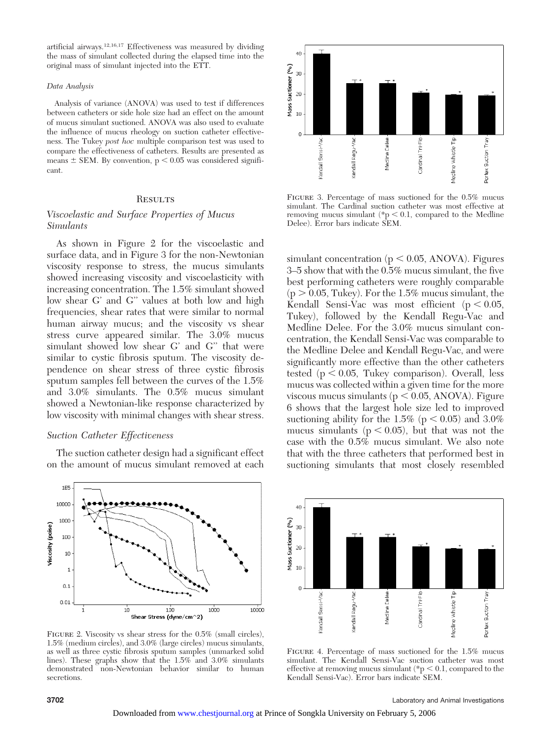artificial airways.12,16,17 Effectiveness was measured by dividing the mass of simulant collected during the elapsed time into the original mass of simulant injected into the ETT.

#### *Data Analysis*

Analysis of variance (ANOVA) was used to test if differences between catheters or side hole size had an effect on the amount of mucus simulant suctioned. ANOVA was also used to evaluate the influence of mucus rheology on suction catheter effectiveness. The Tukey *post hoc* multiple comparison test was used to compare the effectiveness of catheters. Results are presented as means  $\pm$  SEM. By convention,  $p < 0.05$  was considered significant.

#### **RESULTS**

## *Viscoelastic and Surface Properties of Mucus Simulants*

As shown in Figure 2 for the viscoelastic and surface data, and in Figure 3 for the non-Newtonian viscosity response to stress, the mucus simulants showed increasing viscosity and viscoelasticity with increasing concentration. The 1.5% simulant showed low shear G' and G'' values at both low and high frequencies, shear rates that were similar to normal human airway mucus; and the viscosity vs shear stress curve appeared similar. The 3.0% mucus simulant showed low shear G' and G'' that were similar to cystic fibrosis sputum. The viscosity dependence on shear stress of three cystic fibrosis sputum samples fell between the curves of the 1.5% and 3.0% simulants. The 0.5% mucus simulant showed a Newtonian-like response characterized by low viscosity with minimal changes with shear stress.

## *Suction Catheter Effectiveness*

The suction catheter design had a significant effect on the amount of mucus simulant removed at each



FIGURE 2. Viscosity vs shear stress for the  $0.5\%$  (small circles), 1.5% (medium circles), and 3.0% (large circles) mucus simulants, as well as three cystic fibrosis sputum samples (unmarked solid lines). These graphs show that the 1.5% and 3.0% simulants<br>demonstrated non-Newtonian behavior similar to human non-Newtonian behavior similar to human secretions.



FIGURE 3. Percentage of mass suctioned for the 0.5% mucus simulant. The Cardinal suction catheter was most effective at removing mucus simulant  $(*p < 0.1,$  compared to the Medline Delee). Error bars indicate SEM.

simulant concentration ( $p < 0.05$ , ANOVA). Figures 3–5 show that with the 0.5% mucus simulant, the five best performing catheters were roughly comparable  $(p > 0.05,$  Tukey). For the 1.5% mucus simulant, the Kendall Sensi-Vac was most efficient ( $p < 0.05$ , Tukey), followed by the Kendall Regu-Vac and Medline Delee. For the 3.0% mucus simulant concentration, the Kendall Sensi-Vac was comparable to the Medline Delee and Kendall Regu-Vac, and were significantly more effective than the other catheters tested ( $p < 0.05$ , Tukey comparison). Overall, less mucus was collected within a given time for the more viscous mucus simulants ( $p < 0.05$ , ANOVA). Figure 6 shows that the largest hole size led to improved suctioning ability for the  $1.5\%$  ( $p < 0.05$ ) and  $3.0\%$ mucus simulants ( $p < 0.05$ ), but that was not the case with the 0.5% mucus simulant. We also note that with the three catheters that performed best in suctioning simulants that most closely resembled



FIGURE 4. Percentage of mass suctioned for the 1.5% mucus simulant. The Kendall Sensi-Vac suction catheter was most effective at removing mucus simulant ( ${}^*p$   $< 0.1$ , compared to the Kendall Sensi-Vac). Error bars indicate SEM.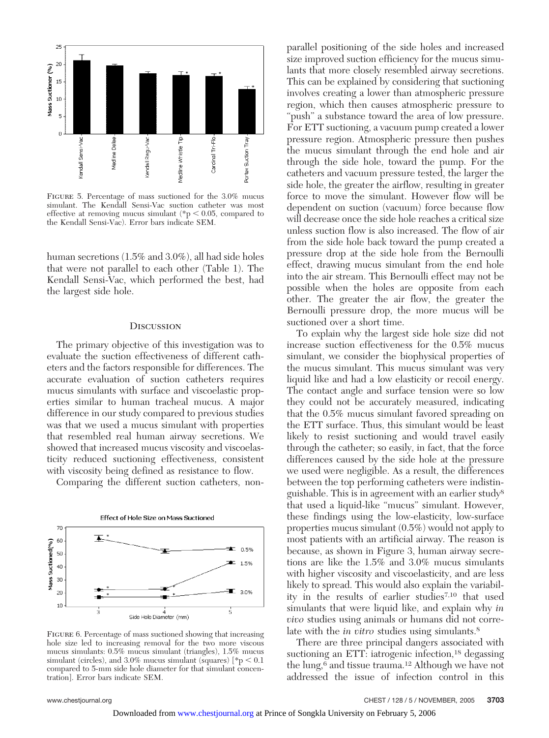

FIGURE 5. Percentage of mass suctioned for the 3.0% mucus simulant. The Kendall Sensi-Vac suction catheter was most effective at removing mucus simulant ( ${}^*\text{p}$  < 0.05, compared to the Kendall Sensi-Vac). Error bars indicate SEM.

human secretions (1.5% and 3.0%), all had side holes that were not parallel to each other (Table 1). The Kendall Sensi-Vac, which performed the best, had the largest side hole.

#### **Discussion**

The primary objective of this investigation was to evaluate the suction effectiveness of different catheters and the factors responsible for differences. The accurate evaluation of suction catheters requires mucus simulants with surface and viscoelastic properties similar to human tracheal mucus. A major difference in our study compared to previous studies was that we used a mucus simulant with properties that resembled real human airway secretions. We showed that increased mucus viscosity and viscoelasticity reduced suctioning effectiveness, consistent with viscosity being defined as resistance to flow.

Comparing the different suction catheters, non-



FIGURE 6. Percentage of mass suctioned showing that increasing hole size led to increasing removal for the two more viscous mucus simulants: 0.5% mucus simulant (triangles), 1.5% mucus simulant (circles), and 3.0% mucus simulant (squares)  $[ *p < 0.1 ]$ compared to 5-mm side hole diameter for that simulant concentration]. Error bars indicate SEM.

parallel positioning of the side holes and increased size improved suction efficiency for the mucus simulants that more closely resembled airway secretions. This can be explained by considering that suctioning involves creating a lower than atmospheric pressure region, which then causes atmospheric pressure to "push" a substance toward the area of low pressure. For ETT suctioning, a vacuum pump created a lower pressure region. Atmospheric pressure then pushes the mucus simulant through the end hole and air through the side hole, toward the pump. For the catheters and vacuum pressure tested, the larger the side hole, the greater the airflow, resulting in greater force to move the simulant. However flow will be dependent on suction (vacuum) force because flow will decrease once the side hole reaches a critical size unless suction flow is also increased. The flow of air from the side hole back toward the pump created a pressure drop at the side hole from the Bernoulli effect, drawing mucus simulant from the end hole into the air stream. This Bernoulli effect may not be possible when the holes are opposite from each other. The greater the air flow, the greater the Bernoulli pressure drop, the more mucus will be suctioned over a short time.

To explain why the largest side hole size did not increase suction effectiveness for the 0.5% mucus simulant, we consider the biophysical properties of the mucus simulant. This mucus simulant was very liquid like and had a low elasticity or recoil energy. The contact angle and surface tension were so low they could not be accurately measured, indicating that the 0.5% mucus simulant favored spreading on the ETT surface. Thus, this simulant would be least likely to resist suctioning and would travel easily through the catheter; so easily, in fact, that the force differences caused by the side hole at the pressure we used were negligible. As a result, the differences between the top performing catheters were indistinguishable. This is in agreement with an earlier study8 that used a liquid-like "mucus" simulant. However, these findings using the low-elasticity, low-surface properties mucus simulant (0.5%) would not apply to most patients with an artificial airway. The reason is because, as shown in Figure 3, human airway secretions are like the 1.5% and 3.0% mucus simulants with higher viscosity and viscoelasticity, and are less likely to spread. This would also explain the variability in the results of earlier studies7,10 that used simulants that were liquid like, and explain why *in vivo* studies using animals or humans did not correlate with the *in vitro* studies using simulants.<sup>8</sup>

There are three principal dangers associated with suctioning an ETT: iatrogenic infection,<sup>18</sup> degassing the lung, $6$  and tissue trauma.<sup>12</sup> Although we have not addressed the issue of infection control in this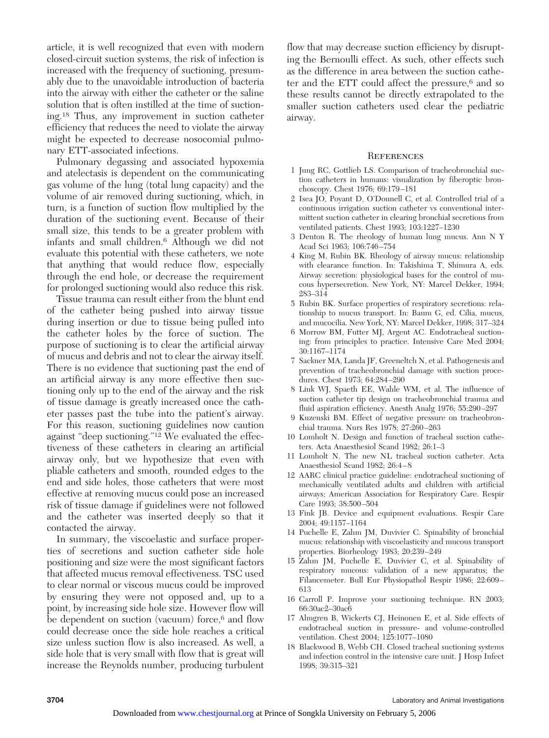article, it is well recognized that even with modern closed-circuit suction systems, the risk of infection is increased with the frequency of suctioning, presumably due to the unavoidable introduction of bacteria into the airway with either the catheter or the saline solution that is often instilled at the time of suctioning.18 Thus, any improvement in suction catheter efficiency that reduces the need to violate the airway might be expected to decrease nosocomial pulmonary ETT-associated infections.

Pulmonary degassing and associated hypoxemia and atelectasis is dependent on the communicating gas volume of the lung (total lung capacity) and the volume of air removed during suctioning, which, in turn, is a function of suction flow multiplied by the duration of the suctioning event. Because of their small size, this tends to be a greater problem with infants and small children.6 Although we did not evaluate this potential with these catheters, we note that anything that would reduce flow, especially through the end hole, or decrease the requirement for prolonged suctioning would also reduce this risk.

Tissue trauma can result either from the blunt end of the catheter being pushed into airway tissue during insertion or due to tissue being pulled into the catheter holes by the force of suction. The purpose of suctioning is to clear the artificial airway of mucus and debris and not to clear the airway itself. There is no evidence that suctioning past the end of an artificial airway is any more effective then suctioning only up to the end of the airway and the risk of tissue damage is greatly increased once the catheter passes past the tube into the patient's airway. For this reason, suctioning guidelines now caution against "deep suctioning."<sup>12</sup> We evaluated the effectiveness of these catheters in clearing an artificial airway only, but we hypothesize that even with pliable catheters and smooth, rounded edges to the end and side holes, those catheters that were most effective at removing mucus could pose an increased risk of tissue damage if guidelines were not followed and the catheter was inserted deeply so that it contacted the airway.

In summary, the viscoelastic and surface properties of secretions and suction catheter side hole positioning and size were the most significant factors that affected mucus removal effectiveness. TSC used to clear normal or viscous mucus could be improved by ensuring they were not opposed and, up to a point, by increasing side hole size. However flow will be dependent on suction (vacuum) force, $6$  and flow could decrease once the side hole reaches a critical size unless suction flow is also increased. As well, a side hole that is very small with flow that is great will increase the Reynolds number, producing turbulent

flow that may decrease suction efficiency by disrupting the Bernoulli effect. As such, other effects such as the difference in area between the suction catheter and the ETT could affect the pressure, $6$  and so these results cannot be directly extrapolated to the smaller suction catheters used clear the pediatric airway.

#### **REFERENCES**

- 1 Jung RC, Gottlieb LS. Comparison of tracheobronchial suction catheters in humans: visualization by fiberoptic bronchoscopy. Chest 1976; 69:179 –181
- 2 Isea JO, Poyant D, O'Donnell C, et al. Controlled trial of a continuous irrigation suction catheter vs conventional intermittent suction catheter in clearing bronchial secretions from ventilated patients. Chest 1993; 103:1227–1230
- 3 Denton R. The rheology of human lung mucus. Ann N Y Acad Sci 1963; 106:746 –754
- 4 King M, Rubin BK. Rheology of airway mucus: relationship with clearance function. In: Takishima T, Shimura A, eds. Airway secretion: physiological bases for the control of mucous hypersecretion. New York, NY: Marcel Dekker, 1994; 283–314
- 5 Rubin BK. Surface properties of respiratory secretions: relationship to mucus transport. In: Baum G, ed. Cilia, mucus, and mucocilia. New York, NY: Marcel Dekker, 1998; 317–324
- 6 Morrow BM, Futter MJ, Argent AC. Endotracheal suctioning: from principles to practice. Intensive Care Med 2004; 30:1167–1174
- 7 Sackner MA, Landa JF, Greeneltch N, et al. Pathogenesis and prevention of tracheobronchial damage with suction procedures. Chest 1973; 64:284 –290
- 8 Link WJ, Spaeth EE, Wahle WM, et al. The influence of suction catheter tip design on tracheobronchial trauma and fluid aspiration efficiency. Anesth Analg 1976; 55:290 –297
- 9 Kuzenski BM. Effect of negative pressure on tracheobronchial trauma. Nurs Res 1978; 27:260 –263
- 10 Lomholt N. Design and function of tracheal suction catheters. Acta Anaesthesiol Scand 1982; 26:1–3
- 11 Lomholt N. The new NL tracheal suction catheter. Acta Anaesthesiol Scand 1982; 26:4 – 8
- 12 AARC clinical practice guideline: endotracheal suctioning of mechanically ventilated adults and children with artificial airways; American Association for Respiratory Care. Respir Care 1993; 38:500 –504
- 13 Fink JB. Device and equipment evaluations. Respir Care 2004; 49:1157–1164
- 14 Puchelle E, Zahm JM, Duvivier C. Spinability of bronchial mucus: relationship with viscoelasticity and mucous transport properties. Biorheology 1983; 20:239 –249
- 15 Zahm JM, Puchelle E, Duvivier C, et al. Spinability of respiratory mucous: validation of a new apparatus; the Filancemeter. Bull Eur Physiopathol Respir 1986; 22:609 – 613
- 16 Carroll P. Improve your suctioning technique. RN 2003; 66:30ac2–30ac6
- 17 Almgren B, Wickerts CJ, Heinonen E, et al. Side effects of endotracheal suction in pressure- and volume-controlled ventilation. Chest 2004; 125:1077–1080
- 18 Blackwood B, Webb CH. Closed tracheal suctioning systems and infection control in the intensive care unit. J Hosp Infect 1998; 39:315–321